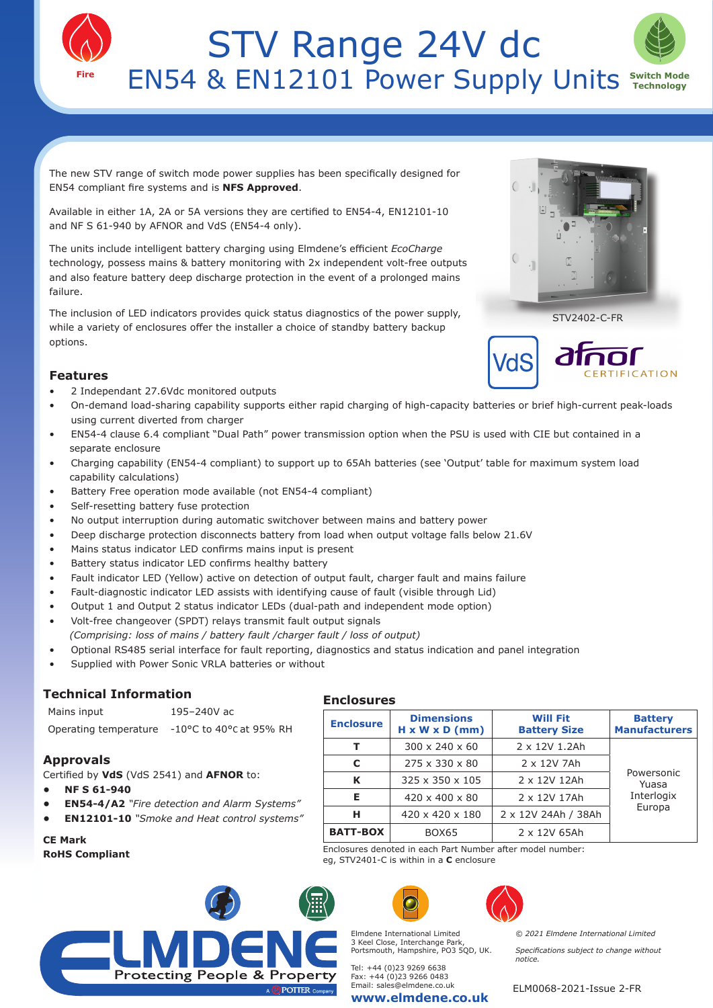



The new STV range of switch mode power supplies has been specifically designed for EN54 compliant fire systems and is **NFS Approved**.

Available in either 1A, 2A or 5A versions they are certified to EN54-4, EN12101-10 and NF S 61-940 by AFNOR and VdS (EN54-4 only).

The units include intelligent battery charging using Elmdene's efficient *EcoCharge* technology, possess mains & battery monitoring with 2x independent volt-free outputs and also feature battery deep discharge protection in the event of a prolonged mains failure.

The inclusion of LED indicators provides quick status diagnostics of the power supply, while a variety of enclosures offer the installer a choice of standby battery backup options.

## **Features**

- 2 Independant 27.6Vdc monitored outputs
- On-demand load-sharing capability supports either rapid charging of high-capacity batteries or brief high-current peak-loads using current diverted from charger
- EN54-4 clause 6.4 compliant "Dual Path" power transmission option when the PSU is used with CIE but contained in a separate enclosure
- Charging capability (EN54-4 compliant) to support up to 65Ah batteries (see 'Output' table for maximum system load capability calculations)
- Battery Free operation mode available (not EN54-4 compliant)
- Self-resetting battery fuse protection
- No output interruption during automatic switchover between mains and battery power
- Deep discharge protection disconnects battery from load when output voltage falls below 21.6V
- Mains status indicator LED confirms mains input is present
- Battery status indicator LED confirms healthy battery
- Fault indicator LED (Yellow) active on detection of output fault, charger fault and mains failure
- Fault-diagnostic indicator LED assists with identifying cause of fault (visible through Lid)
- Output 1 and Output 2 status indicator LEDs (dual-path and independent mode option)
- Volt-free changeover (SPDT) relays transmit fault output signals
- *(Comprising: loss of mains / battery fault /charger fault / loss of output)*
- Optional RS485 serial interface for fault reporting, diagnostics and status indication and panel integration

**Enclosures** 

Supplied with Power Sonic VRLA batteries or without

### **Technical Information**

Mains input 195–240V ac Operating temperature -10°C to 40°C at 95% RH

### **Approvals**

Certified by **VdS** (VdS 2541) and **AFNOR** to:

- **• NF S 61-940**
- **• EN54-4/A2** *"Fire detection and Alarm Systems"*
- **• EN12101-10** *"Smoke and Heat control systems"*

# **CE Mark**

**RoHS Compliant**

# **Protecting People & Property**



eg, STV2401-C is within in a **C** enclosure

**Enclosure Dimensions**

**H x W x D (mm)**

**T**  $\begin{array}{|c|c|c|c|c|} \hline 300 \times 240 \times 60 & 2 \times 1201 \.2 \hline \end{array}$ 

**C** 275 x 330 x 80 2 x 12V 7Ah **K** 325 x 350 x 105 2 x 12V 12Ah **E**  $\begin{array}{|c|c|c|c|c|} \hline \textbf{E} & 420 \times 400 \times 80 & 2 \times 12 \text{V} & 17 \text{Ah} \hline \end{array}$ **H** 420 x 420 x 180 2 x 12V 24Ah / 38Ah

**BATT-BOX** BOX65 2 x 12V 65Ah Enclosures denoted in each Part Number after model number:

Elmdene International Limited 3 Keel Close, Interchange Park, Portsmouth, Hampshire, PO3 5QD, UK.

**www.elmdene.co.uk**

Tel: +44 (0)23 9269 6638 Fax: +44 (0)23 9266 0483 Email: sales@elmdene.co.uk

**Will Fit Battery Size**

**Battery Manufacturers**

> Powersonic Yuasa Interlogix Europa

*© 2021 Elmdene International Limited Specifications subject to change without notice.*

ELM0068-2021-Issue 2-FR